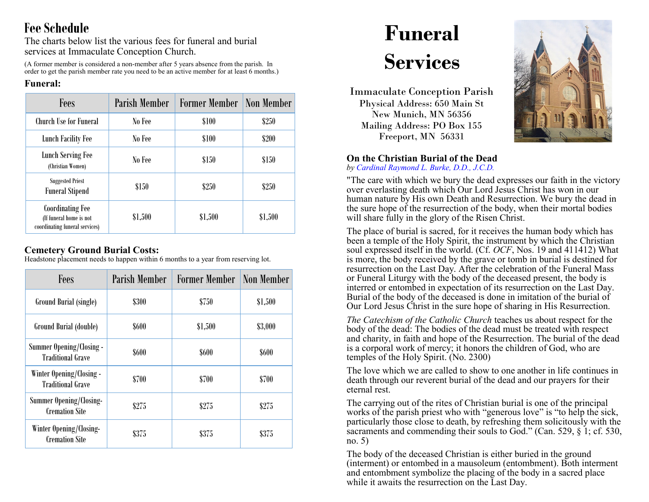## **Fee Schedule**

The charts below list the various fees for funeral and burial services at Immaculate Conception Church.

(A former member is considered a non-member after 5 years absence from the parish. In order to get the parish member rate you need to be an active member for at least 6 months.)

### **Funeral:**

| Fees                                                                                 | Parish Member | <b>Former Member</b> | <b>Non Member</b> |
|--------------------------------------------------------------------------------------|---------------|----------------------|-------------------|
| <b>Church Use for Funeral</b>                                                        | No Fee        | \$100                | \$250             |
| <b>Lunch Facility Fee</b>                                                            | No Fee        | \$100                | \$200             |
| <b>Lunch Serving Fee</b><br>(Christian Women)                                        | No Fee        | \$150                | \$150             |
| <b>Suggested Priest</b><br><b>Funeral Stipend</b>                                    | \$150         | \$250                | \$250             |
| <b>Coordinating Fee</b><br>(If funeral home is not<br>coordinating funeral services) | \$1,500       | \$1,500              | \$1,500           |

### **Cemetery Ground Burial Costs:**

Headstone placement needs to happen within 6 months to a year from reserving lot.

| Fees                                                    | <b>Parish Member</b> | <b>Former Member</b> | Non Member   |
|---------------------------------------------------------|----------------------|----------------------|--------------|
| Ground Burial (single)                                  | <b>\$300</b>         | \$750                | \$1,500      |
| Ground Burial (double)                                  | \$600                | \$1,500              | \$3,000      |
| Summer Opening/Closing -<br><b>Traditional Grave</b>    | \$600                | \$600                | <b>\$600</b> |
| Winter Opening/Closing -<br><b>Traditional Grave</b>    | \$700                | \$700                | \$700        |
| <b>Summer Opening/Closing-</b><br><b>Cremation Site</b> | \$275                | \$275                | \$275        |
| Winter Opening/Closing-<br><b>Cremation Site</b>        | \$375                | \$375                | \$375        |

# **Funeral Services**

Immaculate Conception Parish Physical Address: 650 Main St New Munich, MN 56356 Mailing Address: PO Box 155 Freeport, MN 56331

### **On the Christian Burial of the Dead**

*by Cardinal Raymond L. Burke, D.D., J.C.D.*

"The care with which we bury the dead expresses our faith in the victory over everlasting death which Our Lord Jesus Christ has won in our human nature by His own Death and Resurrection. We bury the dead in the sure hope of the resurrection of the body, when their mortal bodies will share fully in the glory of the Risen Christ.

The place of burial is sacred, for it receives the human body which has been a temple of the Holy Spirit, the instrument by which the Christian soul expressed itself in the world. (Cf. *OCF*, Nos. 19 and 411412) What is more, the body received by the grave or tomb in burial is destined for resurrection on the Last Day. After the celebration of the Funeral Mass or Funeral Liturgy with the body of the deceased present, the body is interred or entombed in expectation of its resurrection on the Last Day. Burial of the body of the deceased is done in imitation of the burial of Our Lord Jesus Christ in the sure hope of sharing in His Resurrection.

*The Catechism of the Catholic Church* teaches us about respect for the body of the dead: The bodies of the dead must be treated with respect and charity, in faith and hope of the Resurrection. The burial of the dead is a corporal work of mercy; it honors the children of God, who are temples of the Holy Spirit. (No. 2300)

The love which we are called to show to one another in life continues in death through our reverent burial of the dead and our prayers for their eternal rest.

The carrying out of the rites of Christian burial is one of the principal works of the parish priest who with "generous love" is "to help the sick, particularly those close to death, by refreshing them solicitously with the sacraments and commending their souls to God." (Can. 529,  $\frac{1}{2}$ ; cf. 530, no. 5)

The body of the deceased Christian is either buried in the ground (interment) or entombed in a mausoleum (entombment). Both interment and entombment symbolize the placing of the body in a sacred place while it awaits the resurrection on the Last Day.